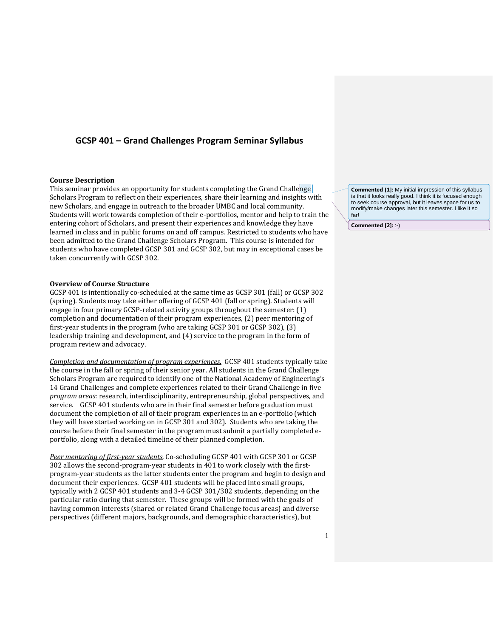# **GCSP 401 – Grand Challenges Program Seminar Syllabus**

### **Course Description**

This seminar provides an opportunity for students completing the Grand Challenge Scholars Program to reflect on their experiences, share their learning and insights with new Scholars, and engage in outreach to the broader UMBC and local community. Students will work towards completion of their e-portfolios, mentor and help to train the entering cohort of Scholars, and present their experiences and knowledge they have learned in class and in public forums on and off campus. Restricted to students who have been admitted to the Grand Challenge Scholars Program. This course is intended for students who have completed GCSP 301 and GCSP 302, but may in exceptional cases be taken concurrently with GCSP 302.

#### **Overview of Course Structure**

GCSP 401 is intentionally co-scheduled at the same time as GCSP 301 (fall) or GCSP 302 (spring). Students may take either offering of GCSP 401 (fall or spring). Students will engage in four primary GCSP-related activity groups throughout the semester: (1) completion and documentation of their program experiences, (2) peer mentoring of first-year students in the program (who are taking GCSP 301 or GCSP 302), (3) leadership training and development, and (4) service to the program in the form of program review and advocacy.

*Completion and documentation of program experiences.* GCSP 401 students typically take the course in the fall or spring of their senior year. All students in the Grand Challenge Scholars Program are required to identify one of the National Academy of Engineering's 14 Grand Challenges and complete experiences related to their Grand Challenge in five *program areas*: research, interdisciplinarity, entrepreneurship, global perspectives, and service. GCSP 401 students who are in their final semester before graduation must document the completion of all of their program experiences in an e-portfolio (which they will have started working on in GCSP 301 and 302). Students who are taking the course before their final semester in the program must submit a partially completed eportfolio, along with a detailed timeline of their planned completion.

*Peer mentoring of first-year students.* Co-scheduling GCSP 401 with GCSP 301 or GCSP 302 allows the second-program-year students in 401 to work closely with the firstprogram-year students as the latter students enter the program and begin to design and document their experiences. GCSP 401 students will be placed into small groups, typically with 2 GCSP 401 students and 3-4 GCSP 301/302 students, depending on the particular ratio during that semester. These groups will be formed with the goals of having common interests (shared or related Grand Challenge focus areas) and diverse perspectives (different majors, backgrounds, and demographic characteristics), but

**Commented [1]:** My initial impression of this syllabus is that it looks really good. I think it is focused enough to seek course approval, but it leaves space for us to modify/make changes later this semester. I like it so far!

**Commented [2]:** :-)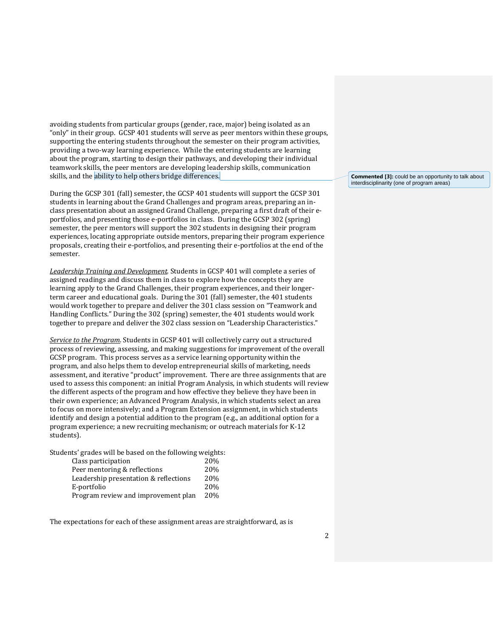avoiding students from particular groups (gender, race, major) being isolated as an "only" in their group. GCSP 401 students will serve as peer mentors within these groups, supporting the entering students throughout the semester on their program activities, providing a two-way learning experience. While the entering students are learning about the program, starting to design their pathways, and developing their individual teamwork skills, the peer mentors are developing leadership skills, communication skills, and the ability to help others bridge differences.

During the GCSP 301 (fall) semester, the GCSP 401 students will support the GCSP 301 students in learning about the Grand Challenges and program areas, preparing an inclass presentation about an assigned Grand Challenge, preparing a first draft of their eportfolios, and presenting those e-portfolios in class. During the GCSP 302 (spring) semester, the peer mentors will support the 302 students in designing their program experiences, locating appropriate outside mentors, preparing their program experience proposals, creating their e-portfolios, and presenting their e-portfolios at the end of the semester.

*Leadership Training and Development.* Students in GCSP 401 will complete a series of assigned readings and discuss them in class to explore how the concepts they are learning apply to the Grand Challenges, their program experiences, and their longerterm career and educational goals. During the 301 (fall) semester, the 401 students would work together to prepare and deliver the 301 class session on "Teamwork and Handling Conflicts." During the 302 (spring) semester, the 401 students would work together to prepare and deliver the 302 class session on "Leadership Characteristics."

*Service to the Program.* Students in GCSP 401 will collectively carry out a structured process of reviewing, assessing, and making suggestions for improvement of the overall GCSP program. This process serves as a service learning opportunity within the program, and also helps them to develop entrepreneurial skills of marketing, needs assessment, and iterative "product" improvement. There are three assignments that are used to assess this component: an initial Program Analysis, in which students will review the different aspects of the program and how effective they believe they have been in their own experience; an Advanced Program Analysis, in which students select an area to focus on more intensively; and a Program Extension assignment, in which students identify and design a potential addition to the program (e.g., an additional option for a program experience; a new recruiting mechanism; or outreach materials for K-12 students).

Students' grades will be based on the following weights:

| 20% |
|-----|
| 20% |
| 20% |
| 20% |
| 20% |
|     |

The expectations for each of these assignment areas are straightforward, as is

**Commented [3]:** could be an opportunity to talk about interdisciplinarity (one of program areas)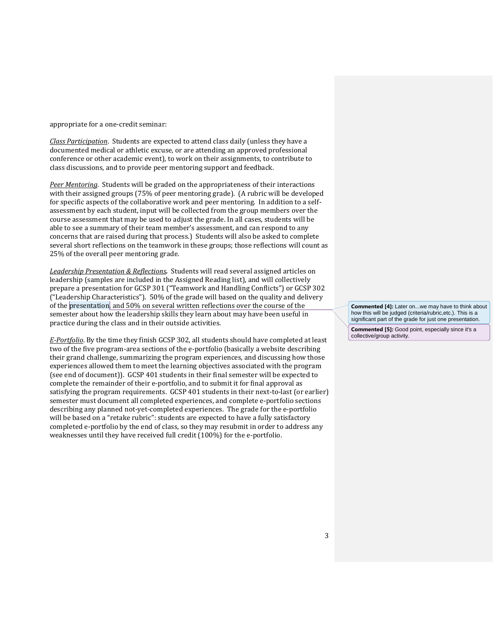appropriate for a one-credit seminar:

*Class Participation*. Students are expected to attend class daily (unless they have a documented medical or athletic excuse, or are attending an approved professional conference or other academic event), to work on their assignments, to contribute to class discussions, and to provide peer mentoring support and feedback.

*Peer Mentoring*. Students will be graded on the appropriateness of their interactions with their assigned groups (75% of peer mentoring grade). (A rubric will be developed for specific aspects of the collaborative work and peer mentoring. In addition to a selfassessment by each student, input will be collected from the group members over the course assessment that may be used to adjust the grade. In all cases, students will be able to see a summary of their team member's assessment, and can respond to any concerns that are raised during that process.) Students will also be asked to complete several short reflections on the teamwork in these groups; those reflections will count as 25% of the overall peer mentoring grade.

*Leadership Presentation & Reflections.* Students will read several assigned articles on leadership (samples are included in the Assigned Reading list), and will collectively prepare a presentation for GCSP 301 ("Teamwork and Handling Conflicts") or GCSP 302 ("Leadership Characteristics"). 50% of the grade will based on the quality and delivery of the presentation, and 50% on several written reflections over the course of the semester about how the leadership skills they learn about may have been useful in practice during the class and in their outside activities.

*E-Portfolio*. By the time they finish GCSP 302, all students should have completed at least two of the five program-area sections of the e-portfolio (basically a website describing their grand challenge, summarizing the program experiences, and discussing how those experiences allowed them to meet the learning objectives associated with the program (see end of document)). GCSP 401 students in their final semester will be expected to complete the remainder of their e-portfolio, and to submit it for final approval as satisfying the program requirements. GCSP 401 students in their next-to-last (or earlier) semester must document all completed experiences, and complete e-portfolio sections describing any planned not-yet-completed experiences. The grade for the e-portfolio will be based on a "retake rubric": students are expected to have a fully satisfactory completed e-portfolio by the end of class, so they may resubmit in order to address any weaknesses until they have received full credit (100%) for the e-portfolio.

**Commented [4]:** Later on...we may have to think about how this will be judged (criteria/rubric,etc.). This is a significant part of the grade for just one presentation.

**Commented [5]:** Good point, especially since it's a collective/group activity.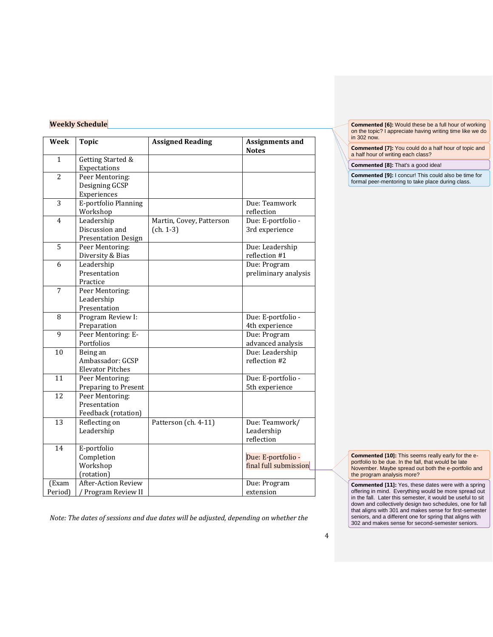## **Weekly Schedule**

| Week             | <b>Topic</b>                                               | <b>Assigned Reading</b>                 | <b>Assignments and</b><br><b>Notes</b>      |
|------------------|------------------------------------------------------------|-----------------------------------------|---------------------------------------------|
| $\mathbf{1}$     | Getting Started &<br>Expectations                          |                                         |                                             |
| $\overline{2}$   | Peer Mentoring:<br>Designing GCSP<br>Experiences           |                                         |                                             |
| 3                | E-portfolio Planning<br>Workshop                           |                                         | Due: Teamwork<br>reflection                 |
| 4                | Leadership<br>Discussion and<br><b>Presentation Design</b> | Martin, Covey, Patterson<br>$(ch. 1-3)$ | Due: E-portfolio -<br>3rd experience        |
| 5                | Peer Mentoring:<br>Diversity & Bias                        |                                         | Due: Leadership<br>reflection #1            |
| 6                | Leadership<br>Presentation<br>Practice                     |                                         | Due: Program<br>preliminary analysis        |
| 7                | Peer Mentoring:<br>Leadership<br>Presentation              |                                         |                                             |
| 8                | Program Review I:<br>Preparation                           |                                         | Due: E-portfolio -<br>4th experience        |
| 9                | Peer Mentoring: E-<br>Portfolios                           |                                         | Due: Program<br>advanced analysis           |
| 10               | Being an<br>Ambassador: GCSP<br><b>Elevator Pitches</b>    |                                         | Due: Leadership<br>reflection #2            |
| 11               | Peer Mentoring:<br>Preparing to Present                    |                                         | Due: E-portfolio -<br>5th experience        |
| 12               | Peer Mentoring:<br>Presentation<br>Feedback (rotation)     |                                         |                                             |
| 13               | Reflecting on<br>Leadership                                | Patterson (ch. 4-11)                    | Due: Teamwork/<br>Leadership<br>reflection  |
| 14               | E-portfolio<br>Completion<br>Workshop<br>(rotation)        |                                         | Due: E-portfolio -<br>final full submission |
| (Exam<br>Period) | <b>After-Action Review</b><br>Program Review II            |                                         | Due: Program<br>extension                   |

*Note: The dates of sessions and due dates will be adjusted, depending on whether the* 

**Commented [6]:** Would these be a full hour of working on the topic? I appreciate having writing time like we do in 302 now.

**Commented [7]:** You could do a half hour of topic and a half hour of writing each class?

**Commented [8]:** That's a good idea!

**Commented [9]:** I concur! This could also be time for formal peer-mentoring to take place during class.

**Commented [10]:** This seems really early for the eportfolio to be due. In the fall, that would be late November. Maybe spread out both the e-portfolio and the program analysis more?

**Commented [11]:** Yes, these dates were with a spring offering in mind. Everything would be more spread out in the fall. Later this semester, it would be useful to sit down and collectively design two schedules, one for fall that aligns with 301 and makes sense for first-semester seniors, and a different one for spring that aligns with 302 and makes sense for second-semester seniors.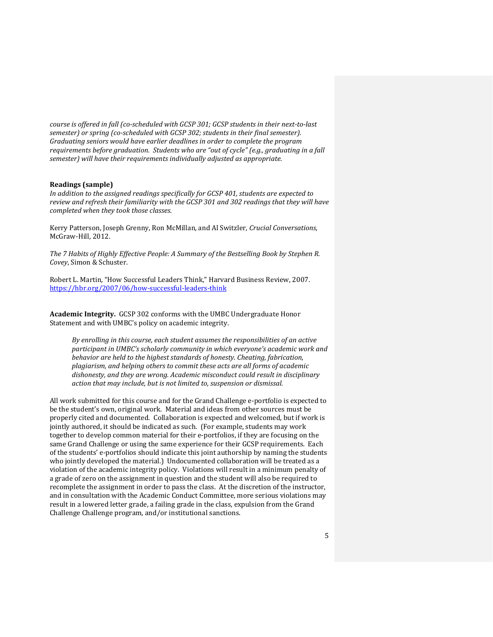*course is offered in fall (co-scheduled with GCSP 301; GCSP students in their next-to-last semester) or spring (co-scheduled with GCSP 302; students in their final semester). Graduating seniors would have earlier deadlines in order to complete the program requirements before graduation. Students who are "out of cycle" (e.g., graduating in a fall semester) will have their requirements individually adjusted as appropriate.*

### **Readings (sample)**

*In addition to the assigned readings specifically for GCSP 401, students are expected to review and refresh their familiarity with the GCSP 301 and 302 readings that they will have completed when they took those classes.*

Kerry Patterson, Joseph Grenny, Ron McMillan, and Al Switzler, *Crucial Conversations*, McGraw-Hill, 2012.

*The 7 Habits of Highly Effective People: A Summary of the Bestselling Book by Stephen R. Covey*, Simon & Schuster.

Robert L. Martin, "How Successful Leaders Think," Harvard Business Review, 2007. <https://hbr.org/2007/06/how-successful-leaders-think>

**Academic Integrity.** GCSP 302 conforms with the UMBC Undergraduate Honor Statement and with UMBC's policy on academic integrity.

*By enrolling in this course, each student assumes the responsibilities of an active participant in UMBC's scholarly community in which everyone's academic work and behavior are held to the highest standards of honesty. Cheating, fabrication, plagiarism, and helping others to commit these acts are all forms of academic dishonesty, and they are wrong. Academic misconduct could result in disciplinary action that may include, but is not limited to, suspension or dismissal.*

All work submitted for this course and for the Grand Challenge e-portfolio is expected to be the student's own, original work. Material and ideas from other sources must be properly cited and documented. Collaboration is expected and welcomed, but if work is jointly authored, it should be indicated as such. (For example, students may work together to develop common material for their e-portfolios, if they are focusing on the same Grand Challenge or using the same experience for their GCSP requirements. Each of the students' e-portfolios should indicate this joint authorship by naming the students who jointly developed the material.) Undocumented collaboration will be treated as a violation of the academic integrity policy. Violations will result in a minimum penalty of a grade of zero on the assignment in question and the student will also be required to recomplete the assignment in order to pass the class. At the discretion of the instructor, and in consultation with the Academic Conduct Committee, more serious violations may result in a lowered letter grade, a failing grade in the class, expulsion from the Grand Challenge Challenge program, and/or institutional sanctions.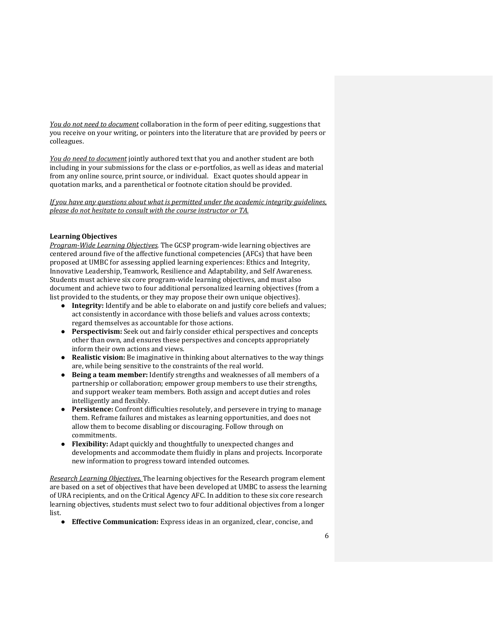*You do not need to document* collaboration in the form of peer editing, suggestions that you receive on your writing, or pointers into the literature that are provided by peers or colleagues.

*You do need to document* jointly authored text that you and another student are both including in your submissions for the class or e-portfolios, as well as ideas and material from any online source, print source, or individual. Exact quotes should appear in quotation marks, and a parenthetical or footnote citation should be provided.

*If you have any questions about what is permitted under the academic integrity guidelines, please do not hesitate to consult with the course instructor or TA.*

### **Learning Objectives**

*Program-Wide Learning Objectives.* The GCSP program-wide learning objectives are centered around five of the affective functional competencies (AFCs) that have been proposed at UMBC for assessing applied learning experiences: Ethics and Integrity, Innovative Leadership, Teamwork, Resilience and Adaptability, and Self Awareness. Students must achieve six core program-wide learning objectives, and must also document and achieve two to four additional personalized learning objectives (from a list provided to the students, or they may propose their own unique objectives).

- **Integrity:** Identify and be able to elaborate on and justify core beliefs and values; act consistently in accordance with those beliefs and values across contexts; regard themselves as accountable for those actions.
- **Perspectivism:** Seek out and fairly consider ethical perspectives and concepts other than own, and ensures these perspectives and concepts appropriately inform their own actions and views.
- **Realistic vision:** Be imaginative in thinking about alternatives to the way things are, while being sensitive to the constraints of the real world.
- **Being a team member:** Identify strengths and weaknesses of all members of a partnership or collaboration; empower group members to use their strengths, and support weaker team members. Both assign and accept duties and roles intelligently and flexibly.
- **Persistence:** Confront difficulties resolutely, and persevere in trying to manage them. Reframe failures and mistakes as learning opportunities, and does not allow them to become disabling or discouraging. Follow through on commitments.
- **Flexibility:** Adapt quickly and thoughtfully to unexpected changes and developments and accommodate them fluidly in plans and projects. Incorporate new information to progress toward intended outcomes.

*Research Learning Objectives.* The learning objectives for the Research program element are based on a set of objectives that have been developed at UMBC to assess the learning of URA recipients, and on the Critical Agency AFC. In addition to these six core research learning objectives, students must select two to four additional objectives from a longer list.

● **Effective Communication:** Express ideas in an organized, clear, concise, and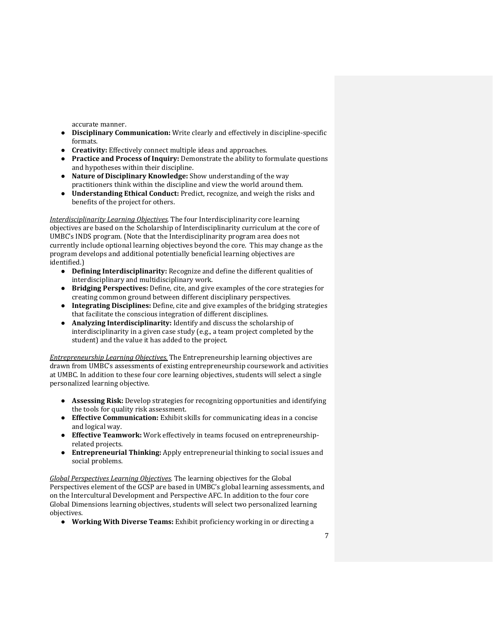accurate manner.

- **Disciplinary Communication:** Write clearly and effectively in discipline-specific formats.
- **Creativity:** Effectively connect multiple ideas and approaches.
- **Practice and Process of Inquiry:** Demonstrate the ability to formulate questions and hypotheses within their discipline.
- **Nature of Disciplinary Knowledge:** Show understanding of the way practitioners think within the discipline and view the world around them.
- **Understanding Ethical Conduct:** Predict, recognize, and weigh the risks and benefits of the project for others.

*Interdisciplinarity Learning Objectives.* The four Interdisciplinarity core learning objectives are based on the Scholarship of Interdisciplinarity curriculum at the core of UMBC's INDS program. (Note that the Interdisciplinarity program area does not currently include optional learning objectives beyond the core. This may change as the program develops and additional potentially beneficial learning objectives are identified.)

- **Defining Interdisciplinarity:** Recognize and define the different qualities of interdisciplinary and multidisciplinary work.
- **Bridging Perspectives:** Define, cite, and give examples of the core strategies for creating common ground between different disciplinary perspectives.
- **Integrating Disciplines:** Define, cite and give examples of the bridging strategies that facilitate the conscious integration of different disciplines.
- **Analyzing Interdisciplinarity:** Identify and discuss the scholarship of interdisciplinarity in a given case study (e.g., a team project completed by the student) and the value it has added to the project.

*Entrepreneurship Learning Objectives.* The Entrepreneurship learning objectives are drawn from UMBC's assessments of existing entrepreneurship coursework and activities at UMBC. In addition to these four core learning objectives, students will select a single personalized learning objective.

- **Assessing Risk:** Develop strategies for recognizing opportunities and identifying the tools for quality risk assessment.
- **Effective Communication:** Exhibit skills for communicating ideas in a concise and logical way.
- **Effective Teamwork:** Work effectively in teams focused on entrepreneurshiprelated projects.
- **Entrepreneurial Thinking:** Apply entrepreneurial thinking to social issues and social problems.

*Global Perspectives Learning Objectives*. The learning objectives for the Global Perspectives element of the GCSP are based in UMBC's global learning assessments, and on the Intercultural Development and Perspective AFC. In addition to the four core Global Dimensions learning objectives, students will select two personalized learning objectives.

● **Working With Diverse Teams:** Exhibit proficiency working in or directing a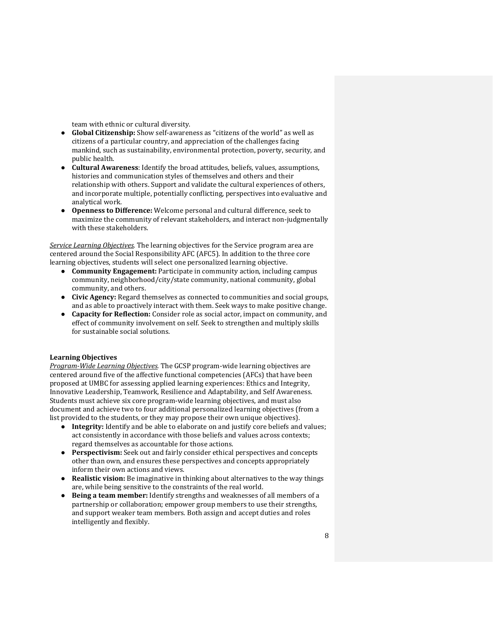team with ethnic or cultural diversity.

- **Global Citizenship:** Show self-awareness as "citizens of the world" as well as citizens of a particular country, and appreciation of the challenges facing mankind, such as sustainability, environmental protection, poverty, security, and public health.
- **Cultural Awareness**: Identify the broad attitudes, beliefs, values, assumptions, histories and communication styles of themselves and others and their relationship with others. Support and validate the cultural experiences of others, and incorporate multiple, potentially conflicting, perspectives into evaluative and analytical work.
- **Openness to Difference:** Welcome personal and cultural difference, seek to maximize the community of relevant stakeholders, and interact non-judgmentally with these stakeholders.

*Service Learning Objectives*. The learning objectives for the Service program area are centered around the Social Responsibility AFC (AFC5). In addition to the three core learning objectives, students will select one personalized learning objective.

- **Community Engagement:** Participate in community action, including campus community, neighborhood/city/state community, national community, global community, and others.
- **Civic Agency:** Regard themselves as connected to communities and social groups, and as able to proactively interact with them. Seek ways to make positive change.
- **Capacity for Reflection:** Consider role as social actor, impact on community, and effect of community involvement on self. Seek to strengthen and multiply skills for sustainable social solutions.

### **Learning Objectives**

*Program-Wide Learning Objectives.* The GCSP program-wide learning objectives are centered around five of the affective functional competencies (AFCs) that have been proposed at UMBC for assessing applied learning experiences: Ethics and Integrity, Innovative Leadership, Teamwork, Resilience and Adaptability, and Self Awareness. Students must achieve six core program-wide learning objectives, and must also document and achieve two to four additional personalized learning objectives (from a list provided to the students, or they may propose their own unique objectives).

- **Integrity:** Identify and be able to elaborate on and justify core beliefs and values; act consistently in accordance with those beliefs and values across contexts; regard themselves as accountable for those actions.
- **Perspectivism:** Seek out and fairly consider ethical perspectives and concepts other than own, and ensures these perspectives and concepts appropriately inform their own actions and views.
- **Realistic vision:** Be imaginative in thinking about alternatives to the way things are, while being sensitive to the constraints of the real world.
- **Being a team member:** Identify strengths and weaknesses of all members of a partnership or collaboration; empower group members to use their strengths, and support weaker team members. Both assign and accept duties and roles intelligently and flexibly.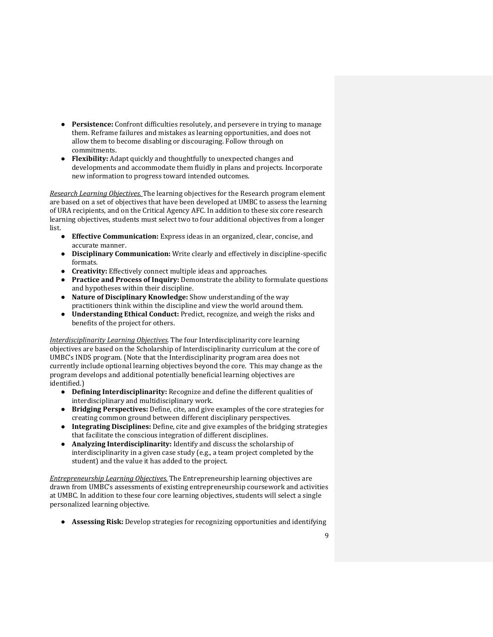- **Persistence:** Confront difficulties resolutely, and persevere in trying to manage them. Reframe failures and mistakes as learning opportunities, and does not allow them to become disabling or discouraging. Follow through on commitments.
- **Flexibility:** Adapt quickly and thoughtfully to unexpected changes and developments and accommodate them fluidly in plans and projects. Incorporate new information to progress toward intended outcomes.

*Research Learning Objectives.* The learning objectives for the Research program element are based on a set of objectives that have been developed at UMBC to assess the learning of URA recipients, and on the Critical Agency AFC. In addition to these six core research learning objectives, students must select two to four additional objectives from a longer list.

- **Effective Communication:** Express ideas in an organized, clear, concise, and accurate manner.
- **Disciplinary Communication:** Write clearly and effectively in discipline-specific formats.
- **Creativity:** Effectively connect multiple ideas and approaches.
- **Practice and Process of Inquiry:** Demonstrate the ability to formulate questions and hypotheses within their discipline.
- **Nature of Disciplinary Knowledge:** Show understanding of the way practitioners think within the discipline and view the world around them.
- **Understanding Ethical Conduct:** Predict, recognize, and weigh the risks and benefits of the project for others.

*Interdisciplinarity Learning Objectives.* The four Interdisciplinarity core learning objectives are based on the Scholarship of Interdisciplinarity curriculum at the core of UMBC's INDS program. (Note that the Interdisciplinarity program area does not currently include optional learning objectives beyond the core. This may change as the program develops and additional potentially beneficial learning objectives are identified.)

- **Defining Interdisciplinarity:** Recognize and define the different qualities of interdisciplinary and multidisciplinary work.
- **Bridging Perspectives:** Define, cite, and give examples of the core strategies for creating common ground between different disciplinary perspectives.
- **Integrating Disciplines:** Define, cite and give examples of the bridging strategies that facilitate the conscious integration of different disciplines.
- **Analyzing Interdisciplinarity:** Identify and discuss the scholarship of interdisciplinarity in a given case study (e.g., a team project completed by the student) and the value it has added to the project.

*Entrepreneurship Learning Objectives.* The Entrepreneurship learning objectives are drawn from UMBC's assessments of existing entrepreneurship coursework and activities at UMBC. In addition to these four core learning objectives, students will select a single personalized learning objective.

● **Assessing Risk:** Develop strategies for recognizing opportunities and identifying